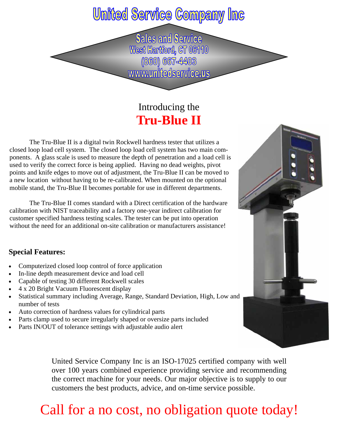### **United Service Company Inc**

**Sales and Service** West Hartford, CT 06110 (860) 667-4403 www.unitedservice.us

### Introducing the **Tru-Blue II**

The Tru-Blue II is a digital twin Rockwell hardness tester that utilizes a closed loop load cell system. The closed loop load cell system has two main components. A glass scale is used to measure the depth of penetration and a load cell is used to verify the correct force is being applied. Having no dead weights, pivot points and knife edges to move out of adjustment, the Tru-Blue II can be moved to a new location without having to be re-calibrated. When mounted on the optional mobile stand, the Tru-Blue II becomes portable for use in different departments.

 The Tru-Blue II comes standard with a Direct certification of the hardware calibration with NIST traceability and a factory one-year indirect calibration for customer specified hardness testing scales. The tester can be put into operation without the need for an additional on-site calibration or manufacturers assistance!

#### **Special Features:**

- Computerized closed loop control of force application
- In-line depth measurement device and load cell
- Capable of testing 30 different Rockwell scales
- 4 x 20 Bright Vacuum Fluorescent display
- Statistical summary including Average, Range, Standard Deviation, High, Low and number of tests
- Auto correction of hardness values for cylindrical parts
- Parts clamp used to secure irregularly shaped or oversize parts included
- Parts IN/OUT of tolerance settings with adjustable audio alert



United Service Company Inc is an ISO-17025 certified company with well over 100 years combined experience providing service and recommending the correct machine for your needs. Our major objective is to supply to our customers the best products, advice, and on-time service possible.

## Call for a no cost, no obligation quote today!